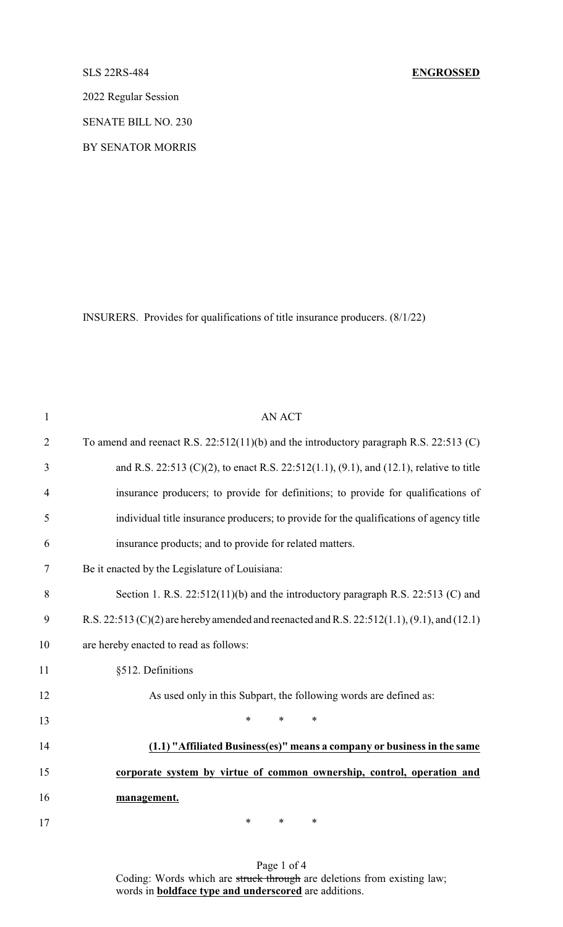2022 Regular Session

SENATE BILL NO. 230

BY SENATOR MORRIS

INSURERS. Provides for qualifications of title insurance producers. (8/1/22)

| $\mathbf{1}$   | <b>AN ACT</b>                                                                               |  |  |  |  |  |
|----------------|---------------------------------------------------------------------------------------------|--|--|--|--|--|
| $\overline{2}$ | To amend and reenact R.S. $22:512(11)(b)$ and the introductory paragraph R.S. $22:513(C)$   |  |  |  |  |  |
| 3              | and R.S. 22:513 (C)(2), to enact R.S. 22:512(1.1), (9.1), and (12.1), relative to title     |  |  |  |  |  |
| $\overline{4}$ | insurance producers; to provide for definitions; to provide for qualifications of           |  |  |  |  |  |
| 5              | individual title insurance producers; to provide for the qualifications of agency title     |  |  |  |  |  |
| 6              | insurance products; and to provide for related matters.                                     |  |  |  |  |  |
| 7              | Be it enacted by the Legislature of Louisiana:                                              |  |  |  |  |  |
| 8              | Section 1. R.S. $22:512(11)(b)$ and the introductory paragraph R.S. $22:513$ (C) and        |  |  |  |  |  |
| 9              | R.S. 22:513 (C)(2) are hereby amended and reenacted and R.S. 22:512(1.1), (9.1), and (12.1) |  |  |  |  |  |
| 10             | are hereby enacted to read as follows:                                                      |  |  |  |  |  |
| 11             | §512. Definitions                                                                           |  |  |  |  |  |
| 12             | As used only in this Subpart, the following words are defined as:                           |  |  |  |  |  |
| 13             | $\ast$<br>$\ast$<br>∗                                                                       |  |  |  |  |  |
| 14             | (1.1) "Affiliated Business(es)" means a company or business in the same                     |  |  |  |  |  |
| 15             | corporate system by virtue of common ownership, control, operation and                      |  |  |  |  |  |
| 16             | management.                                                                                 |  |  |  |  |  |
| 17             | $\ast$<br>*<br>∗                                                                            |  |  |  |  |  |

Page 1 of 4 Coding: Words which are struck through are deletions from existing law; words in **boldface type and underscored** are additions.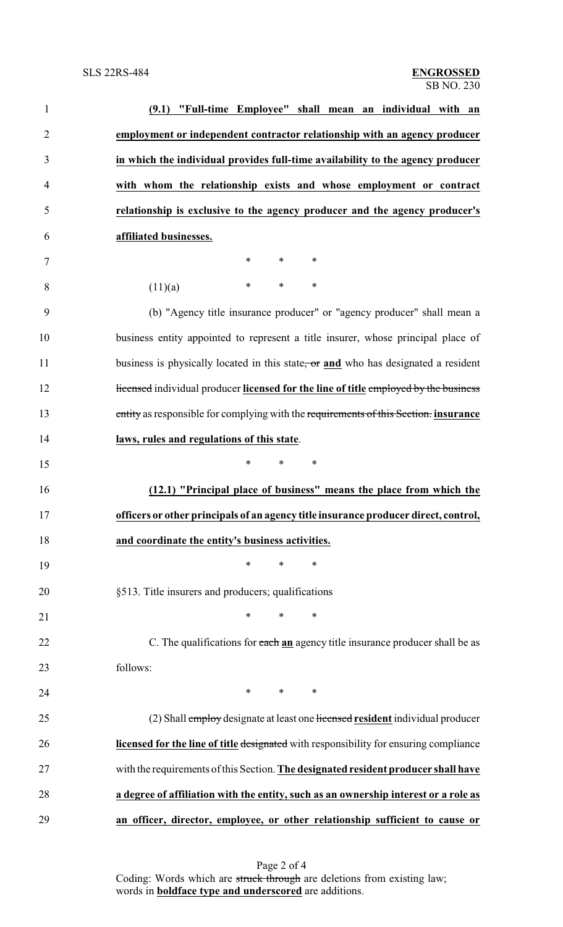| $\mathbf{1}$   | (9.1) "Full-time Employee" shall mean an individual with an                           |
|----------------|---------------------------------------------------------------------------------------|
| $\overline{2}$ | employment or independent contractor relationship with an agency producer             |
| 3              | in which the individual provides full-time availability to the agency producer        |
| 4              | with whom the relationship exists and whose employment or contract                    |
| 5              | relationship is exclusive to the agency producer and the agency producer's            |
| 6              | affiliated businesses.                                                                |
| 7              | $\ast$<br>$\ast$<br>$\ast$                                                            |
| 8              | $\ast$<br>*<br>$\ast$<br>(11)(a)                                                      |
| 9              | (b) "Agency title insurance producer" or "agency producer" shall mean a               |
| 10             | business entity appointed to represent a title insurer, whose principal place of      |
| 11             | business is physically located in this state, or and who has designated a resident    |
| 12             | Hicensed individual producer licensed for the line of title employed by the business  |
| 13             | entity as responsible for complying with the requirements of this Section. insurance  |
| 14             | laws, rules and regulations of this state.                                            |
| 15             | $\ast$<br>$\ast$<br>$\ast$                                                            |
| 16             | (12.1) "Principal place of business" means the place from which the                   |
| 17             | officers or other principals of an agency title insurance producer direct, control,   |
| 18             | and coordinate the entity's business activities.                                      |
| 19             | ∗<br>*<br>∗                                                                           |
| 20             | §513. Title insurers and producers; qualifications                                    |
| 21             | $\ast$<br>$\ast$<br>∗                                                                 |
| 22             | C. The qualifications for each an agency title insurance producer shall be as         |
| 23             | follows:                                                                              |
| 24             | $\ast$<br>$\ast$<br>∗                                                                 |
| 25             | (2) Shall employ designate at least one licensed resident individual producer         |
| 26             | licensed for the line of title designated with responsibility for ensuring compliance |
| 27             | with the requirements of this Section. The designated resident producer shall have    |
| 28             | a degree of affiliation with the entity, such as an ownership interest or a role as   |
| 29             | an officer, director, employee, or other relationship sufficient to cause or          |

Page 2 of 4 Coding: Words which are struck through are deletions from existing law; words in **boldface type and underscored** are additions.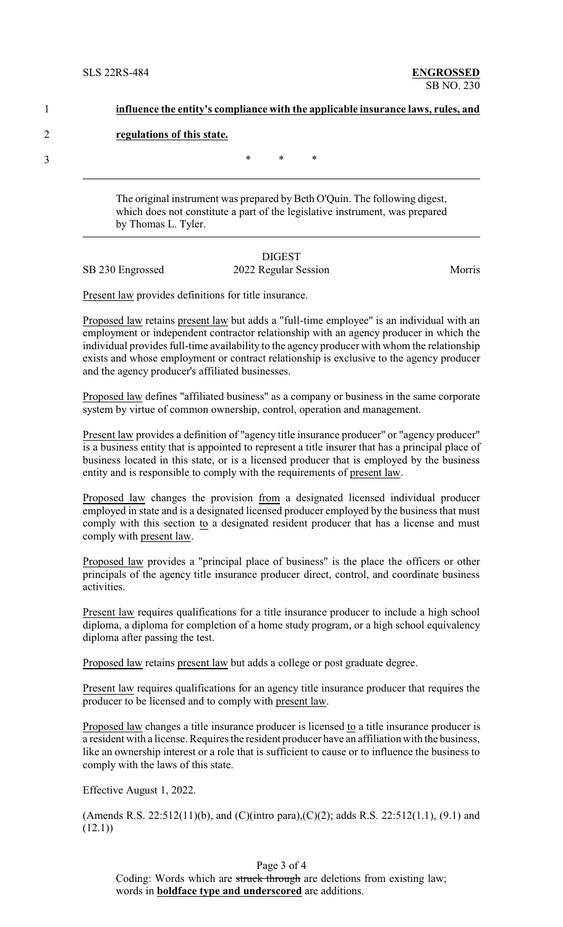| influence the entity's compliance with the applicable insurance laws, rules, and |        |        |   |  |  |  |
|----------------------------------------------------------------------------------|--------|--------|---|--|--|--|
| regulations of this state.                                                       |        |        |   |  |  |  |
|                                                                                  | $\ast$ | $\ast$ | * |  |  |  |

The original instrument was prepared by Beth O'Quin. The following digest, which does not constitute a part of the legislative instrument, was prepared by Thomas L. Tyler.

### DIGEST SB 230 Engrossed 2022 Regular Session Morris

Present law provides definitions for title insurance.

Proposed law retains present law but adds a "full-time employee" is an individual with an employment or independent contractor relationship with an agency producer in which the individual provides full-time availability to the agency producer with whom the relationship exists and whose employment or contract relationship is exclusive to the agency producer and the agency producer's affiliated businesses.

Proposed law defines "affiliated business" as a company or business in the same corporate system by virtue of common ownership, control, operation and management.

Present law provides a definition of "agency title insurance producer" or "agency producer" is a business entity that is appointed to represent a title insurer that has a principal place of business located in this state, or is a licensed producer that is employed by the business entity and is responsible to comply with the requirements of present law.

Proposed law changes the provision from a designated licensed individual producer employed in state and is a designated licensed producer employed by the business that must comply with this section to a designated resident producer that has a license and must comply with present law.

Proposed law provides a "principal place of business" is the place the officers or other principals of the agency title insurance producer direct, control, and coordinate business activities.

Present law requires qualifications for a title insurance producer to include a high school diploma, a diploma for completion of a home study program, or a high school equivalency diploma after passing the test.

Proposed law retains present law but adds a college or post graduate degree.

Present law requires qualifications for an agency title insurance producer that requires the producer to be licensed and to comply with present law.

Proposed law changes a title insurance producer is licensed to a title insurance producer is a resident with a license. Requires the resident producer have an affiliation with the business, like an ownership interest or a role that is sufficient to cause or to influence the business to comply with the laws of this state.

Effective August 1, 2022.

(Amends R.S. 22:512(11)(b), and (C)(intro para),(C)(2); adds R.S. 22:512(1.1), (9.1) and  $(12.1)$ 

Page 3 of 4 Coding: Words which are struck through are deletions from existing law; words in **boldface type and underscored** are additions.